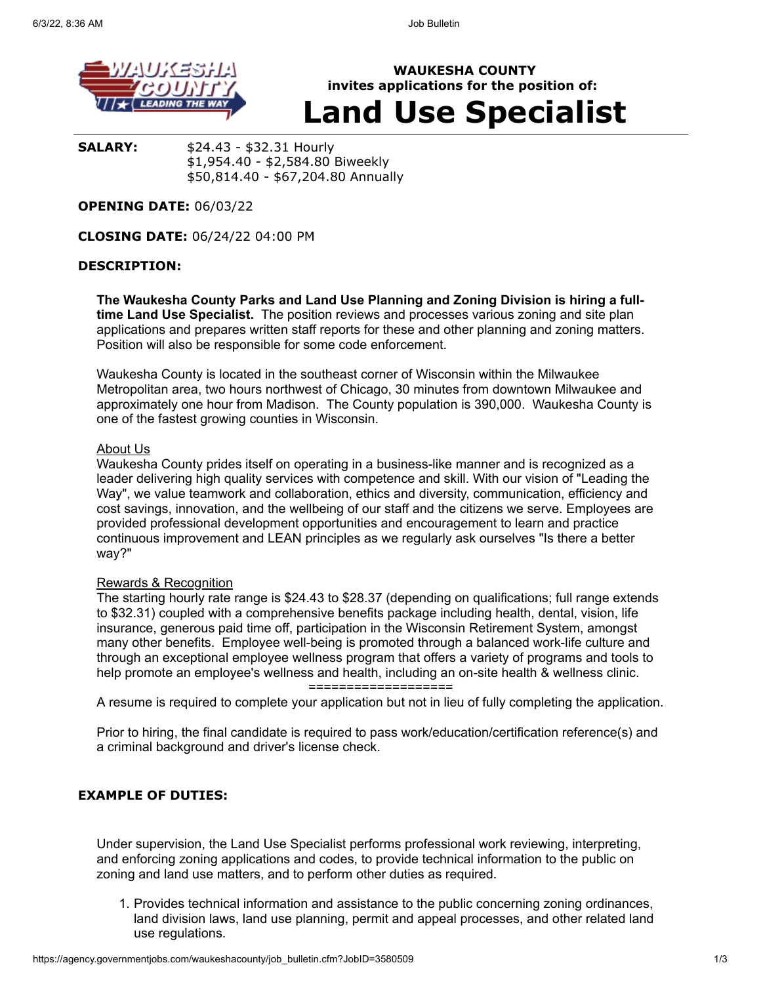

**WAUKESHA COUNTY invites applications for the position of: Land Use Specialist**

**SALARY:** \$24.43 - \$32.31 Hourly \$1,954.40 - \$2,584.80 Biweekly \$50,814.40 - \$67,204.80 Annually

## **OPENING DATE:** 06/03/22

**CLOSING DATE:** 06/24/22 04:00 PM

## **DESCRIPTION:**

**The Waukesha County Parks and Land Use Planning and Zoning Division is hiring a fulltime Land Use Specialist.** The position reviews and processes various zoning and site plan applications and prepares written staff reports for these and other planning and zoning matters. Position will also be responsible for some code enforcement.

Waukesha County is located in the southeast corner of Wisconsin within the Milwaukee Metropolitan area, two hours northwest of Chicago, 30 minutes from downtown Milwaukee and approximately one hour from Madison. The County population is 390,000. Waukesha County is one of the fastest growing counties in Wisconsin.

#### About Us

Waukesha County prides itself on operating in a business-like manner and is recognized as a leader delivering high quality services with competence and skill. With our vision of "Leading the Way", we value teamwork and collaboration, ethics and diversity, communication, efficiency and cost savings, innovation, and the wellbeing of our staff and the citizens we serve. Employees are provided professional development opportunities and encouragement to learn and practice continuous improvement and LEAN principles as we regularly ask ourselves "Is there a better way?"

#### Rewards & Recognition

The starting hourly rate range is \$24.43 to \$28.37 (depending on qualifications; full range extends to \$32.31) coupled with a comprehensive benefits package including health, dental, vision, life insurance, generous paid time off, participation in the Wisconsin Retirement System, amongst many other benefits. Employee well-being is promoted through a balanced work-life culture and through an exceptional employee wellness program that offers a variety of programs and tools to help promote an employee's wellness and health, including an on-site health & wellness clinic.

===================

A resume is required to complete your application but not in lieu of fully completing the application.

Prior to hiring, the final candidate is required to pass work/education/certification reference(s) and a criminal background and driver's license check.

### **EXAMPLE OF DUTIES:**

Under supervision, the Land Use Specialist performs professional work reviewing, interpreting, and enforcing zoning applications and codes, to provide technical information to the public on zoning and land use matters, and to perform other duties as required.

1. Provides technical information and assistance to the public concerning zoning ordinances, land division laws, land use planning, permit and appeal processes, and other related land use regulations.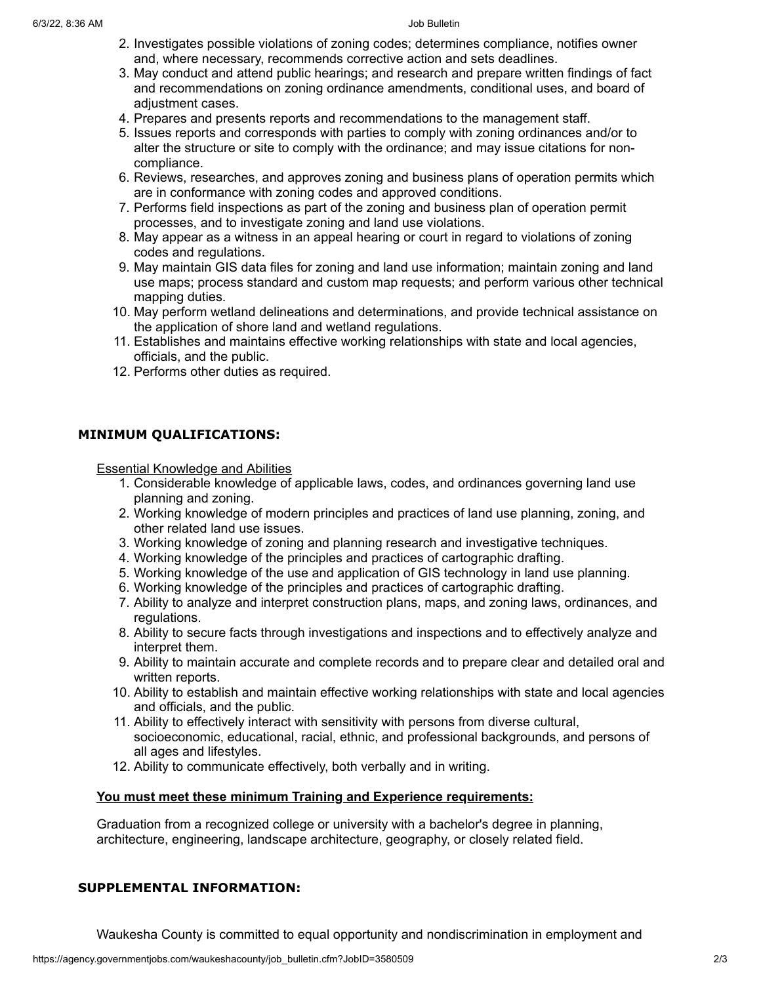- 2. Investigates possible violations of zoning codes; determines compliance, notifies owner and, where necessary, recommends corrective action and sets deadlines.
- 3. May conduct and attend public hearings; and research and prepare written findings of fact and recommendations on zoning ordinance amendments, conditional uses, and board of adjustment cases.
- 4. Prepares and presents reports and recommendations to the management staff.
- 5. Issues reports and corresponds with parties to comply with zoning ordinances and/or to alter the structure or site to comply with the ordinance; and may issue citations for noncompliance.
- 6. Reviews, researches, and approves zoning and business plans of operation permits which are in conformance with zoning codes and approved conditions.
- 7. Performs field inspections as part of the zoning and business plan of operation permit processes, and to investigate zoning and land use violations.
- 8. May appear as a witness in an appeal hearing or court in regard to violations of zoning codes and regulations.
- 9. May maintain GIS data files for zoning and land use information; maintain zoning and land use maps; process standard and custom map requests; and perform various other technical mapping duties.
- 10. May perform wetland delineations and determinations, and provide technical assistance on the application of shore land and wetland regulations.
- 11. Establishes and maintains effective working relationships with state and local agencies, officials, and the public.
- 12. Performs other duties as required.

# **MINIMUM QUALIFICATIONS:**

Essential Knowledge and Abilities

- 1. Considerable knowledge of applicable laws, codes, and ordinances governing land use planning and zoning.
- 2. Working knowledge of modern principles and practices of land use planning, zoning, and other related land use issues.
- 3. Working knowledge of zoning and planning research and investigative techniques.
- 4. Working knowledge of the principles and practices of cartographic drafting.
- 5. Working knowledge of the use and application of GIS technology in land use planning.
- 6. Working knowledge of the principles and practices of cartographic drafting.
- 7. Ability to analyze and interpret construction plans, maps, and zoning laws, ordinances, and regulations.
- 8. Ability to secure facts through investigations and inspections and to effectively analyze and interpret them.
- 9. Ability to maintain accurate and complete records and to prepare clear and detailed oral and written reports.
- 10. Ability to establish and maintain effective working relationships with state and local agencies and officials, and the public.
- 11. Ability to effectively interact with sensitivity with persons from diverse cultural, socioeconomic, educational, racial, ethnic, and professional backgrounds, and persons of all ages and lifestyles.
- 12. Ability to communicate effectively, both verbally and in writing.

# **You must meet these minimum Training and Experience requirements:**

Graduation from a recognized college or university with a bachelor's degree in planning, architecture, engineering, landscape architecture, geography, or closely related field.

# **SUPPLEMENTAL INFORMATION:**

Waukesha County is committed to equal opportunity and nondiscrimination in employment and